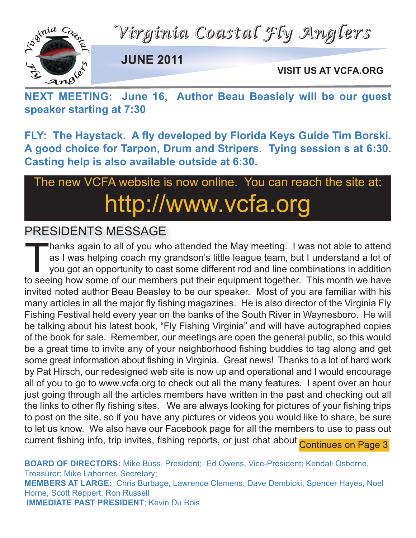*Virginia Coastal Fly Anglers*



**JUNE 2011**

**VISIT US AT VCFA.ORG**

VISIT US AT VCFA.ORG<br>
NEXT MEETING: June 16, Author Beau Beaslely will be our guest **speaker starting at 7:30**

**FLY: The Haystack. A fly developed by Florida Keys Guide Tim Borski. A good choice for Tarpon, Drum and Stripers. Tying session s at 6:30. Casting help is also available outside at 6:30.**

# The new VCFA website is now online. You can reach the site at: http://www.vcfa.org

### PRESIDENTS MESSAGE

hanks again to all of you who attended the May meeting. I was not able to attend as I was helping coach my grandson's little league team, but I understand a lot of you got an opportunity to cast some different rod and line combinations in addition to seeing how some of our members put their equipment together. This month we have invited noted author Beau Beasley to be our speaker. Most of you are familiar with his many articles in all the major fly fishing magazines. He is also director of the Virginia Fly Fishing Festival held every year on the banks of the South River in Waynesboro. He will be talking about his latest book, "Fly Fishing Virginia" and will have autographed copies of the book for sale. Remember, our meetings are open the general public, so this would be a great time to invite any of your neighborhood fishing buddies to tag along and get some great information about fishing in Virginia. Great news! Thanks to a lot of hard work by Pat Hirsch, our redesigned web site is now up and operational and I would encourage all of you to go to www.vcfa.org to check out all the many features. I spent over an hour just going through all the articles members have written in the past and checking out all the links to other fly fishing sites. We are always looking for pictures of your fishing trips to post on the site, so if you have any pictures or videos you would like to share, be sure to let us know. We also have our Facebook page for all the members to use to pass out current fishing info, trip invites, fishing reports, or just chat about Continues on Page 3

**BOARD OF DIRECTORS:** Mike Buss, President; Ed Owens, Vice-President; Kendall Osborne, Treasurer; Mike Lahorner, Secretary; **MEMBERS AT LARGE:** Chris Burbage, Lawrence Clemens, Dave Dembicki, Spencer Hayes, Noel Horne, Scott Reppert, Ron Russell **IMMEDIATE PAST PRESIDENT**; Kevin Du Bois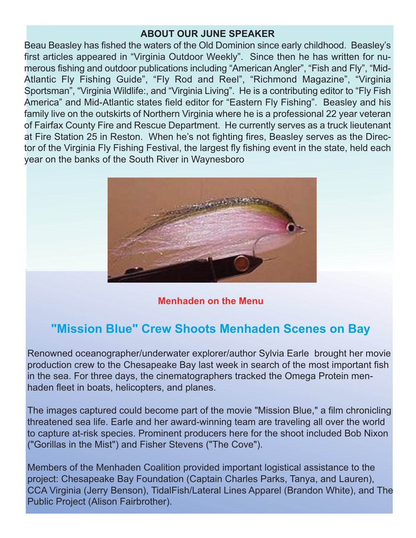#### **ABOUT OUR JUNE SPEAKER**

Beau Beasley has fished the waters of the Old Dominion since early childhood. Beasley's first articles appeared in "Virginia Outdoor Weekly". Since then he has written for numerous fishing and outdoor publications including "American Angler", "Fish and Fly", "Mid-Atlantic Fly Fishing Guide", "Fly Rod and Reel", "Richmond Magazine", "Virginia Sportsman", "Virginia Wildlife:, and "Virginia Living". He is a contributing editor to "Fly Fish America" and Mid-Atlantic states field editor for "Eastern Fly Fishing". Beasley and his family live on the outskirts of Northern Virginia where he is a professional 22 year veteran of Fairfax County Fire and Rescue Department. He currently serves as a truck lieutenant at Fire Station 25 in Reston. When he's not fighting fires, Beasley serves as the Director of the Virginia Fly Fishing Festival, the largest fly fishing event in the state, held each year on the banks of the South River in Waynesboro



**Menhaden on the Menu**

## **"Mission Blue" Crew Shoots Menhaden Scenes on Bay**

Renowned oceanographer/underwater explorer/author Sylvia Earle brought her movie production crew to the Chesapeake Bay last week in search of the most important fish in the sea. For three days, the cinematographers tracked the Omega Protein menhaden fleet in boats, helicopters, and planes.

The images captured could become part of the movie "Mission Blue," a film chronicling threatened sea life. Earle and her award-winning team are traveling all over the world to capture at-risk species. Prominent producers here for the shoot included Bob Nixon ("Gorillas in the Mist") and Fisher Stevens ("The Cove").

Members of the Menhaden Coalition provided important logistical assistance to the project: Chesapeake Bay Foundation (Captain Charles Parks, Tanya, and Lauren), CCA Virginia (Jerry Benson), TidalFish/Lateral Lines Apparel (Brandon White), and The Public Project (Alison Fairbrother).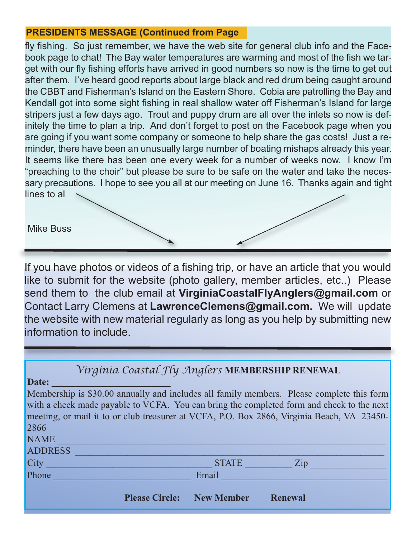### **PRESIDENTS MESSAGE (Continued from Page**

fly fishing. So just remember, we have the web site for general club info and the Facebook page to chat! The Bay water temperatures are warming and most of the fish we target with our fly fishing efforts have arrived in good numbers so now is the time to get out after them. I've heard good reports about large black and red drum being caught around the CBBT and Fisherman's Island on the Eastern Shore. Cobia are patrolling the Bay and Kendall got into some sight fishing in real shallow water off Fisherman's Island for large stripers just a few days ago. Trout and puppy drum are all over the inlets so now is definitely the time to plan a trip. And don't forget to post on the Facebook page when you are going if you want some company or someone to help share the gas costs! Just a reminder, there have been an unusually large number of boating mishaps already this year. It seems like there has been one every week for a number of weeks now. I know I'm "preaching to the choir" but please be sure to be safe on the water and take the necessary precautions. I hope to see you all at our meeting on June 16. Thanks again and tight lines to al

#### Mike Buss

If you have photos or videos of a fishing trip, or have an article that you would like to submit for the website (photo gallery, member articles, etc..) Please send them to the club email at **VirginiaCoastalFlyAnglers@gmail.com** or Contact Larry Clemens at **LawrenceClemens@gmail.com.** We will update the website with new material regularly as long as you help by submitting new information to include.

| Virginia Coastal Fly Anglers MEMBERSHIP RENEWAL                                            |                                  |                |
|--------------------------------------------------------------------------------------------|----------------------------------|----------------|
| Date:                                                                                      |                                  |                |
| Membership is \$30.00 annually and includes all family members. Please complete this form  |                                  |                |
| with a check made payable to VCFA. You can bring the completed form and check to the next  |                                  |                |
| meeting, or mail it to or club treasurer at VCFA, P.O. Box 2866, Virginia Beach, VA 23450- |                                  |                |
| 2866                                                                                       |                                  |                |
| <b>NAME</b>                                                                                |                                  |                |
| <b>ADDRESS</b>                                                                             |                                  |                |
| City                                                                                       | <b>STATE</b>                     | Zip            |
| Phone                                                                                      | Email                            |                |
|                                                                                            |                                  |                |
|                                                                                            | <b>Please Circle:</b> New Member | <b>Renewal</b> |
|                                                                                            |                                  |                |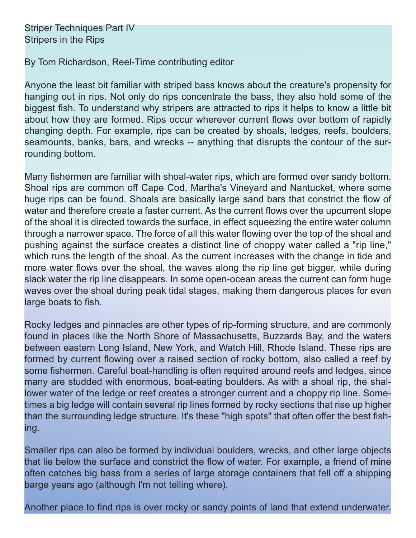By Tom Richardson, Reel-Time contributing editor

Anyone the least bit familiar with striped bass knows about the creature's propensity for hanging out in rips. Not only do rips concentrate the bass, they also hold some of the biggest fish. To understand why stripers are attracted to rips it helps to know a little bit about how they are formed. Rips occur wherever current flows over bottom of rapidly changing depth. For example, rips can be created by shoals, ledges, reefs, boulders, seamounts, banks, bars, and wrecks -- anything that disrupts the contour of the surrounding bottom.

Many fishermen are familiar with shoal-water rips, which are formed over sandy bottom. Shoal rips are common off Cape Cod, Martha's Vineyard and Nantucket, where some huge rips can be found. Shoals are basically large sand bars that constrict the flow of water and therefore create a faster current. As the current flows over the upcurrent slope of the shoal it is directed towards the surface, in effect squeezing the entire water column through a narrower space. The force of all this water flowing over the top of the shoal and pushing against the surface creates a distinct line of choppy water called a "rip line," which runs the length of the shoal. As the current increases with the change in tide and more water flows over the shoal, the waves along the rip line get bigger, while during slack water the rip line disappears. In some open-ocean areas the current can form huge waves over the shoal during peak tidal stages, making them dangerous places for even large boats to fish.

Rocky ledges and pinnacles are other types of rip-forming structure, and are commonly found in places like the North Shore of Massachusetts, Buzzards Bay, and the waters between eastern Long Island, New York, and Watch Hill, Rhode Island. These rips are formed by current flowing over a raised section of rocky bottom, also called a reef by some fishermen. Careful boat-handling is often required around reefs and ledges, since many are studded with enormous, boat-eating boulders. As with a shoal rip, the shallower water of the ledge or reef creates a stronger current and a choppy rip line. Sometimes a big ledge will contain several rip lines formed by rocky sections that rise up higher than the surrounding ledge structure. It's these "high spots" that often offer the best fishing.

Smaller rips can also be formed by individual boulders, wrecks, and other large objects that lie below the surface and constrict the flow of water. For example, a friend of mine often catches big bass from a series of large storage containers that fell off a shipping barge years ago (although I'm not telling where).

Another place to find rips is over rocky or sandy points of land that extend underwater.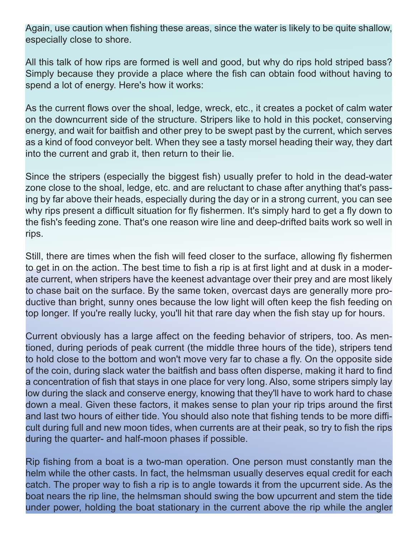Again, use caution when fishing these areas, since the water is likely to be quite shallow, especially close to shore.

All this talk of how rips are formed is well and good, but why do rips hold striped bass? Simply because they provide a place where the fish can obtain food without having to spend a lot of energy. Here's how it works:

As the current flows over the shoal, ledge, wreck, etc., it creates a pocket of calm water on the downcurrent side of the structure. Stripers like to hold in this pocket, conserving energy, and wait for baitfish and other prey to be swept past by the current, which serves as a kind of food conveyor belt. When they see a tasty morsel heading their way, they dart into the current and grab it, then return to their lie.

Since the stripers (especially the biggest fish) usually prefer to hold in the dead-water zone close to the shoal, ledge, etc. and are reluctant to chase after anything that's passing by far above their heads, especially during the day or in a strong current, you can see why rips present a difficult situation for fly fishermen. It's simply hard to get a fly down to the fish's feeding zone. That's one reason wire line and deep-drifted baits work so well in rips.

Still, there are times when the fish will feed closer to the surface, allowing fly fishermen to get in on the action. The best time to fish a rip is at first light and at dusk in a moderate current, when stripers have the keenest advantage over their prey and are most likely to chase bait on the surface. By the same token, overcast days are generally more productive than bright, sunny ones because the low light will often keep the fish feeding on top longer. If you're really lucky, you'll hit that rare day when the fish stay up for hours.

Current obviously has a large affect on the feeding behavior of stripers, too. As mentioned, during periods of peak current (the middle three hours of the tide), stripers tend to hold close to the bottom and won't move very far to chase a fly. On the opposite side of the coin, during slack water the baitfish and bass often disperse, making it hard to find a concentration of fish that stays in one place for very long. Also, some stripers simply lay low during the slack and conserve energy, knowing that they'll have to work hard to chase down a meal. Given these factors, it makes sense to plan your rip trips around the first and last two hours of either tide. You should also note that fishing tends to be more difficult during full and new moon tides, when currents are at their peak, so try to fish the rips during the quarter- and half-moon phases if possible.

Rip fishing from a boat is a two-man operation. One person must constantly man the helm while the other casts. In fact, the helmsman usually deserves equal credit for each catch. The proper way to fish a rip is to angle towards it from the upcurrent side. As the boat nears the rip line, the helmsman should swing the bow upcurrent and stem the tide under power, holding the boat stationary in the current above the rip while the angler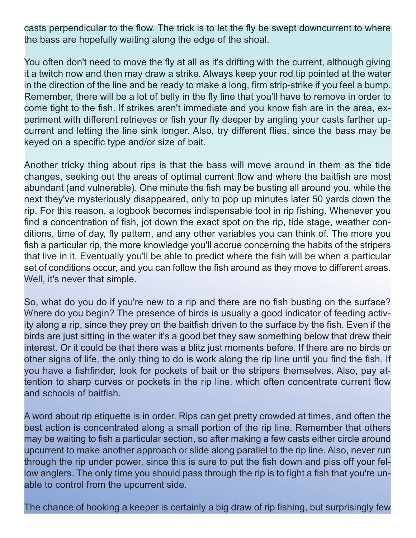casts perpendicular to the flow. The trick is to let the fly be swept downcurrent to where the bass are hopefully waiting along the edge of the shoal.

You often don't need to move the fly at all as it's drifting with the current, although giving it a twitch now and then may draw a strike. Always keep your rod tip pointed at the water in the direction of the line and be ready to make a long, firm strip-strike if you feel a bump. Remember, there will be a lot of belly in the fly line that you'll have to remove in order to come tight to the fish. If strikes aren't immediate and you know fish are in the area, experiment with different retrieves or fish your fly deeper by angling your casts farther upcurrent and letting the line sink longer. Also, try different flies, since the bass may be keyed on a specific type and/or size of bait.

Another tricky thing about rips is that the bass will move around in them as the tide changes, seeking out the areas of optimal current flow and where the baitfish are most abundant (and vulnerable). One minute the fish may be busting all around you, while the next they've mysteriously disappeared, only to pop up minutes later 50 yards down the rip. For this reason, a logbook becomes indispensable tool in rip fishing. Whenever you find a concentration of fish, jot down the exact spot on the rip, tide stage, weather conditions, time of day, fly pattern, and any other variables you can think of. The more you fish a particular rip, the more knowledge you'll accrue concerning the habits of the stripers that live in it. Eventually you'll be able to predict where the fish will be when a particular set of conditions occur, and you can follow the fish around as they move to different areas. Well, it's never that simple.

So, what do you do if you're new to a rip and there are no fish busting on the surface? Where do you begin? The presence of birds is usually a good indicator of feeding activity along a rip, since they prey on the baitfish driven to the surface by the fish. Even if the birds are just sitting in the water it's a good bet they saw something below that drew their interest. Or it could be that there was a blitz just moments before. If there are no birds or other signs of life, the only thing to do is work along the rip line until you find the fish. If you have a fishfinder, look for pockets of bait or the stripers themselves. Also, pay attention to sharp curves or pockets in the rip line, which often concentrate current flow and schools of baitfish.

A word about rip etiquette is in order. Rips can get pretty crowded at times, and often the best action is concentrated along a small portion of the rip line. Remember that others may be waiting to fish a particular section, so after making a few casts either circle around upcurrent to make another approach or slide along parallel to the rip line. Also, never run through the rip under power, since this is sure to put the fish down and piss off your fellow anglers. The only time you should pass through the rip is to fight a fish that you're unable to control from the upcurrent side.

The chance of hooking a keeper is certainly a big draw of rip fishing, but surprisingly few